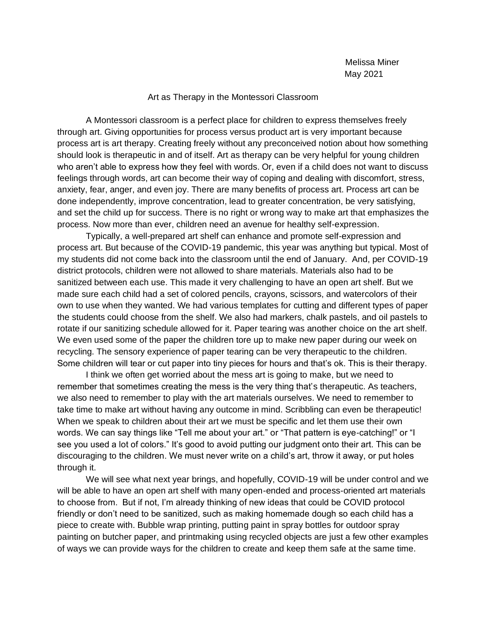## Art as Therapy in the Montessori Classroom

A Montessori classroom is a perfect place for children to express themselves freely through art. Giving opportunities for process versus product art is very important because process art is art therapy. Creating freely without any preconceived notion about how something should look is therapeutic in and of itself. Art as therapy can be very helpful for young children who aren't able to express how they feel with words. Or, even if a child does not want to discuss feelings through words, art can become their way of coping and dealing with discomfort, stress, anxiety, fear, anger, and even joy. There are many benefits of process art. Process art can be done independently, improve concentration, lead to greater concentration, be very satisfying, and set the child up for success. There is no right or wrong way to make art that emphasizes the process. Now more than ever, children need an avenue for healthy self-expression.

Typically, a well-prepared art shelf can enhance and promote self-expression and process art. But because of the COVID-19 pandemic, this year was anything but typical. Most of my students did not come back into the classroom until the end of January. And, per COVID-19 district protocols, children were not allowed to share materials. Materials also had to be sanitized between each use. This made it very challenging to have an open art shelf. But we made sure each child had a set of colored pencils, crayons, scissors, and watercolors of their own to use when they wanted. We had various templates for cutting and different types of paper the students could choose from the shelf. We also had markers, chalk pastels, and oil pastels to rotate if our sanitizing schedule allowed for it. Paper tearing was another choice on the art shelf. We even used some of the paper the children tore up to make new paper during our week on recycling. The sensory experience of paper tearing can be very therapeutic to the children. Some children will tear or cut paper into tiny pieces for hours and that's ok. This is their therapy.

I think we often get worried about the mess art is going to make, but we need to remember that sometimes creating the mess is the very thing that's therapeutic. As teachers, we also need to remember to play with the art materials ourselves. We need to remember to take time to make art without having any outcome in mind. Scribbling can even be therapeutic! When we speak to children about their art we must be specific and let them use their own words. We can say things like "Tell me about your art." or "That pattern is eye-catching!" or "I see you used a lot of colors." It's good to avoid putting our judgment onto their art. This can be discouraging to the children. We must never write on a child's art, throw it away, or put holes through it.

We will see what next year brings, and hopefully, COVID-19 will be under control and we will be able to have an open art shelf with many open-ended and process-oriented art materials to choose from. But if not, I'm already thinking of new ideas that could be COVID protocol friendly or don't need to be sanitized, such as making homemade dough so each child has a piece to create with. Bubble wrap printing, putting paint in spray bottles for outdoor spray painting on butcher paper, and printmaking using recycled objects are just a few other examples of ways we can provide ways for the children to create and keep them safe at the same time.